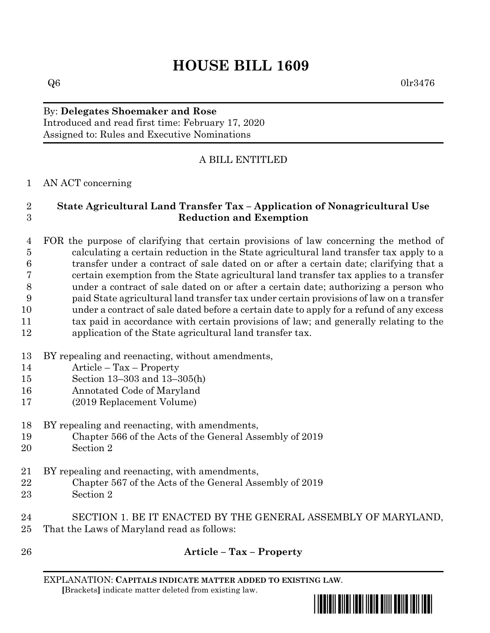# **HOUSE BILL 1609**

## By: **Delegates Shoemaker and Rose** Introduced and read first time: February 17, 2020 Assigned to: Rules and Executive Nominations

## A BILL ENTITLED

## AN ACT concerning

## **State Agricultural Land Transfer Tax – Application of Nonagricultural Use Reduction and Exemption**

 FOR the purpose of clarifying that certain provisions of law concerning the method of calculating a certain reduction in the State agricultural land transfer tax apply to a transfer under a contract of sale dated on or after a certain date; clarifying that a certain exemption from the State agricultural land transfer tax applies to a transfer under a contract of sale dated on or after a certain date; authorizing a person who paid State agricultural land transfer tax under certain provisions of law on a transfer under a contract of sale dated before a certain date to apply for a refund of any excess tax paid in accordance with certain provisions of law; and generally relating to the

- application of the State agricultural land transfer tax.
- BY repealing and reenacting, without amendments,
- Article Tax Property
- Section 13–303 and 13–305(h)
- Annotated Code of Maryland
- (2019 Replacement Volume)
- BY repealing and reenacting, with amendments,
- Chapter 566 of the Acts of the General Assembly of 2019
- Section 2
- BY repealing and reenacting, with amendments,
- Chapter 567 of the Acts of the General Assembly of 2019
- Section 2
- SECTION 1. BE IT ENACTED BY THE GENERAL ASSEMBLY OF MARYLAND, That the Laws of Maryland read as follows:
- 

## **Article – Tax – Property**

EXPLANATION: **CAPITALS INDICATE MATTER ADDED TO EXISTING LAW**.  **[**Brackets**]** indicate matter deleted from existing law.

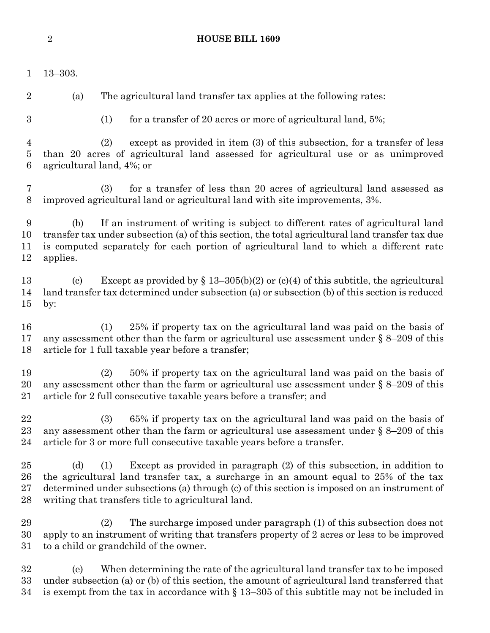13–303. (a) The agricultural land transfer tax applies at the following rates: (2) The surcharge imposed under paragraph (1) of this subsection does not apply to an instrument of writing that transfers property of 2 acres or less to be improved to a child or grandchild of the owner.

 (e) When determining the rate of the agricultural land transfer tax to be imposed under subsection (a) or (b) of this section, the amount of agricultural land transferred that 34 is exempt from the tax in accordance with  $\S$  13–305 of this subtitle may not be included in

- 
- (1) for a transfer of 20 acres or more of agricultural land, 5%;

 (2) except as provided in item (3) of this subsection, for a transfer of less than 20 acres of agricultural land assessed for agricultural use or as unimproved agricultural land, 4%; or

 (3) for a transfer of less than 20 acres of agricultural land assessed as improved agricultural land or agricultural land with site improvements, 3%.

 (b) If an instrument of writing is subject to different rates of agricultural land transfer tax under subsection (a) of this section, the total agricultural land transfer tax due is computed separately for each portion of agricultural land to which a different rate applies.

13 (c) Except as provided by  $\S 13-305(b)(2)$  or (c)(4) of this subtitle, the agricultural land transfer tax determined under subsection (a) or subsection (b) of this section is reduced by:

 (1) 25% if property tax on the agricultural land was paid on the basis of any assessment other than the farm or agricultural use assessment under § 8–209 of this article for 1 full taxable year before a transfer;

 (2) 50% if property tax on the agricultural land was paid on the basis of 20 any assessment other than the farm or agricultural use assessment under  $\S 8-209$  of this article for 2 full consecutive taxable years before a transfer; and

 (3) 65% if property tax on the agricultural land was paid on the basis of any assessment other than the farm or agricultural use assessment under § 8–209 of this article for 3 or more full consecutive taxable years before a transfer.

 (d) (1) Except as provided in paragraph (2) of this subsection, in addition to the agricultural land transfer tax, a surcharge in an amount equal to 25% of the tax determined under subsections (a) through (c) of this section is imposed on an instrument of writing that transfers title to agricultural land.